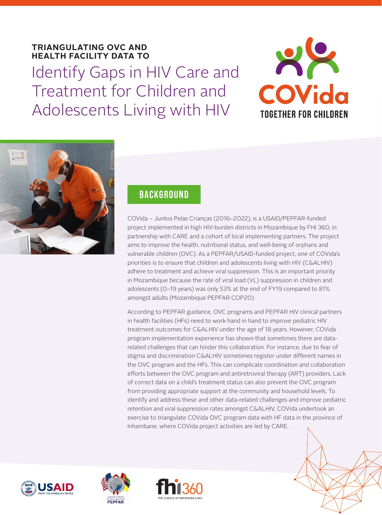# **TRIANGULATING OVC AND HEALTH FACILITY DATA TO**  Identify Gaps in HIV Care and Treatment for Children and Adolescents Living with HIV





## **BACKGROUND**

COVida – Juntos Pelas Crianças (2016–2022), is a USAID/PEPFAR-funded project implemented in high HIV-burden districts in Mozambique by FHI 360, in partnership with CARE and a cohort of local implementing partners. The project aims to improve the health, nutritional status, and well-being of orphans and vulnerable children (OVC). As a PEPFAR/USAID-funded project, one of COVida's priorities is to ensure that children and adolescents living with HIV (C&ALHIV) adhere to treatment and achieve viral suppression. This is an important priority in Mozambique because the rate of viral load (VL) suppression in children and adolescents (0–19 years) was only 53% at the end of FY19 compared to 81% amongst adults (Mozambique PEPFAR COP20).

According to PEPFAR guidance, OVC programs and PEPFAR HIV clinical partners in health facilities (HFs) need to work hand in hand to improve pediatric HIV treatment outcomes for C&ALHIV under the age of 18 years. However, COVida program implementation experience has shown that sometimes there are datarelated challenges that can hinder this collaboration. For instance, due to fear of stigma and discrimination C&ALHIV sometimes register under different names in the OVC program and the HFs. This can complicate coordination and collaboration efforts between the OVC program and antiretroviral therapy (ART) providers. Lack of correct data on a child's treatment status can also prevent the OVC program from providing appropriate support at the community and household levels. To identify and address these and other data-related challenges and improve pediatric retention and viral suppression rates amongst C&ALHIV, COVida undertook an exercise to triangulate COVida OVC program data with HF data in the province of Inhambane, where COVida project activities are led by CARE.







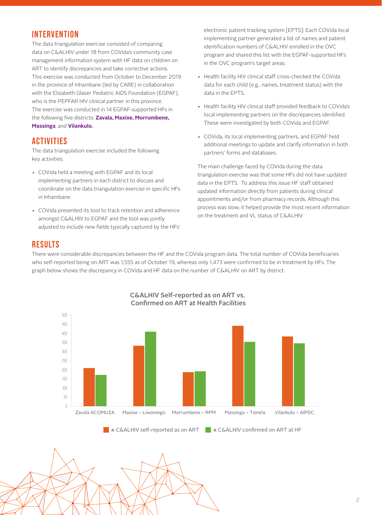### **INTERVENTION**

The data triangulation exercise consisted of comparing data on C&ALHIV under 18 from COVida's community case management information system with HF data on children on ART to identify discrepancies and take corrective actions. This exercise was conducted from October to December 2019 in the province of Inhambane (led by CARE) in collaboration with the Elizabeth Glaser Pediatric AIDS Foundation (EGPAF), who is the PEPFAR HIV clinical partner in this province. The exercise was conducted in 14 EGPAF-supported HFs in the following five districts: **Zavala, Maxixe, Morrumbene, Massinga**, and **Vilankulo.**

### **ACTIVITIES**

The data triangulation exercise included the following key activities:

- COVida held a meeting with EGPAF and its local implementing partners in each district to discuss and coordinate on the data triangulation exercise in specific HFs in Inhambane.
- COVida presented its tool to track retention and adherence amongst C&ALHIV to EGPAF and the tool was jointly adjusted to include new fields typically captured by the HFs'

electronic patient tracking system [EPTS]: Each COVida local implementing partner generated a list of names and patient identification numbers of C&ALHIV enrolled in the OVC program and shared this list with the EGPAF-supported HFs in the OVC program's target areas.

- Health facility HIV clinical staff cross-checked the COVida data for each child (e.g., names, treatment status) with the data in the EPTS.
- Health facility HIV clinical staff provided feedback to COVida's local implementing partners on the discrepancies identified. These were investigated by both COVida and EGPAF.
- COVida, its local implementing partners, and EGPAF held additional meetings to update and clarify information in both partners' forms and databases.

The main challenge faced by COVida during the data triangulation exercise was that some HFs did not have updated data in the EPTS. To address this issue HF staff obtained updated information directly from patients during clinical appointments and/or from pharmacy records. Although this process was slow, it helped provide the most recent information on the treatment and VL status of C&ALHIV.

#### **RESULTS**

 $\angle$ 

There were considerable discrepancies between the HF and the COVida program data. The total number of COVida beneficiaries who self-reported being on ART was 1,555 as of October 19, whereas only 1,473 were confirmed to be in treatment by HFs. The graph below shows the discrepancy in COVida and HF data on the number of C&ALHIV on ART by district.



 $\lambda$  $N/NN \ll N \ll N$ 

#### C&ALHIV Self-reported as on ART vs. Confirmed on ART at Health Facilities

 $\blacksquare$  # C&ALHIV self-reported as on ART  $\blacksquare$  # C&ALHIV confirmed on ART at HF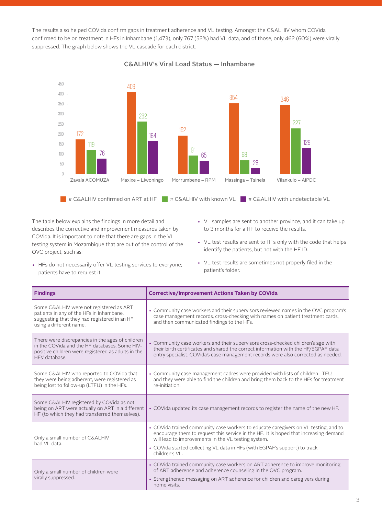The results also helped COVida confirm gaps in treatment adherence and VL testing. Amongst the C&ALHIV whom COVida confirmed to be on treatment in HFs in Inhambane (1,473), only 767 (52%) had VL data, and of those, only 462 (60%) were virally suppressed. The graph below shows the VL cascade for each district.



C&ALHIV's Viral Load Status — Inhambane

 $\blacksquare$  # C&ALHIV confirmed on ART at HF  $\blacksquare$  # C&ALHIV with known VL  $\blacksquare$  # C&ALHIV with undetectable VL

patient's folder.

The table below explains the findings in more detail and describes the corrective and improvement measures taken by COVida. It is important to note that there are gaps in the VL testing system in Mozambique that are out of the control of the OVC project, such as:

- VL samples are sent to another province, and it can take up to 3 months for a HF to receive the results.
- VL test results are sent to HFs only with the code that helps identify the patients, but not with the HF ID.

• VL test results are sometimes not properly filed in the

- HFs do not necessarily offer VL testing services to everyone; patients have to request it.
- **Findings Corrective/Improvement Actions Taken by COVida** Some C&ALHIV were not registered as ART patients in any of the HFs in Inhambane, suggesting that they had registered in an HF using a different name. • Community case workers and their supervisors reviewed names in the OVC program's case management records, cross-checking with names on patient treatment cards, and then communicated findings to the HFs. There were discrepancies in the ages of children in the COVida and the HF databases. Some HIVpositive children were registered as adults in the HFs' database. • Community case workers and their supervisors cross-checked children's age with their birth certificates and shared the correct information with the HF/EGPAF data entry specialist. COVida's case management records were also corrected as needed. Some C&ALHIV who reported to COVida that they were being adherent, were registered as being lost to follow-up (LTFU) in the HFs. • Community case management cadres were provided with lists of children LTFU, and they were able to find the children and bring them back to the HFs for treatment re-initiation. Some C&ALHIV registered by COVida as not being on ART were actually on ART in a different HF (to which they had transferred themselves). • COVida updated its case management records to register the name of the new HF. Only a small number of C&ALHIV had VL data. • COVida trained community case workers to educate caregivers on VL testing, and to encourage them to request this service in the HF. It is hoped that increasing demand will lead to improvements in the VL testing system. • COVida started collecting VL data in HFs (with EGPAF's support) to track children's VL. Only a small number of children were virally suppressed. • COVida trained community case workers on ART adherence to improve monitoring of ART adherence and adherence counseling in the OVC program. • Strengthened messaging on ART adherence for children and caregivers during home visits.
- 3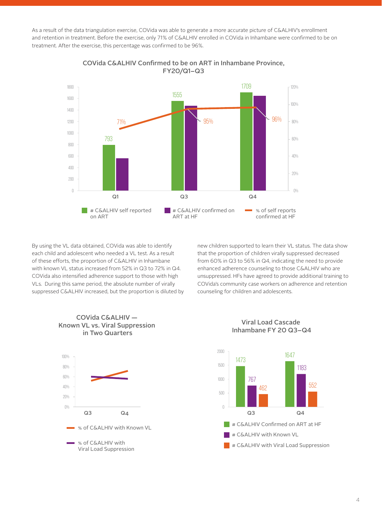As a result of the data triangulation exercise, COVida was able to generate a more accurate picture of C&ALHIV's enrollment and retention in treatment. Before the exercise, only 71% of C&ALHIV enrolled in COVida in Inhambane were confirmed to be on treatment. After the exercise, this percentage was confirmed to be 96%.



COVida C&ALHIV Confirmed to be on ART in Inhambane Province, FY20/Q1–Q3

By using the VL data obtained, COVida was able to identify each child and adolescent who needed a VL test. As a result of these efforts, the proportion of C&ALHIV in Inhambane with known VL status increased from 52% in Q3 to 72% in Q4. COVida also intensified adherence support to those with high VLs. During this same period, the absolute number of virally suppressed C&ALHIV increased, but the proportion is diluted by new children supported to learn their VL status. The data show that the proportion of children virally suppressed decreased from 60% in Q3 to 56% in Q4, indicating the need to provide enhanced adherence counseling to those C&ALHIV who are unsuppressed. HFs have agreed to provide additional training to COVida's community case workers on adherence and retention counseling for children and adolescents.







Viral Load Cascade Inhambane FY 20 Q3–Q4